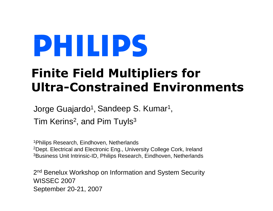# Finite Field Multipliers for Ultra-Constrained Environments

Jorge Guajardo<sup>1</sup> <sup>1</sup>, Sandeep S. Kumar<sup>1</sup> , Tim Kerins<sup>2</sup>, and Pim Tuyls $^3$ 

1Philips Research, Eindhoven, Netherlands $^{2}$ Dept. Electrical and Electronic Eng., University College Cork, Ireland <sup>3</sup>Business Unit Intrinsic-ID, Philips Research, Eindhoven, Netherlands

2<sup>nd</sup> Benelux Workshop on Information and System Security WISSEC 2007 September 20-21, 2007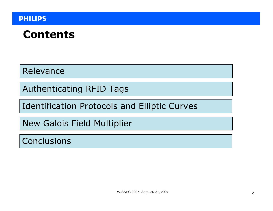### Contents

Relevance

Authenticating RFID Tags

Identification Protocols and Elliptic Curves

New Galois Field Multiplier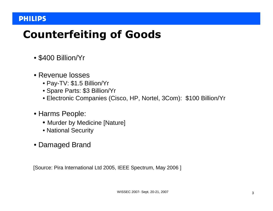# Counterfeiting of Goods

- \$400 Billion/Yr
- Revenue losses
	- Pay-TV: \$1.5 Billion/Yr
	- Spare Parts: \$3 Billion/Yr
	- Electronic Companies (Cisco, HP, Nortel, 3Com): \$100 Billion/Yr
- Harms People:
	- Murder by Medicine [Nature]
	- National Security
- Damaged Brand

[Source: Pira International Ltd 2005, IEEE Spectrum, May 2006 ]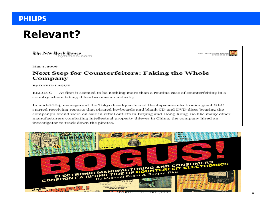### Relevant?

The New Hork Times nytimes.com



May 1, 2006

#### **Next Step for Counterfeiters: Faking the Whole** Company

**By DAVID LAGUE** 

 $BEIJING - At first it seemed to be nothing more than a routine case of counterfeiting in a$ country where faking it has become an industry.

In mid-2004, managers at the Tokyo headquarters of the Japanese electronics giant NEC started receiving reports that pirated keyboards and blank CD and DVD discs bearing the company's brand were on sale in retail outlets in Beijing and Hong Kong. So like many other manufacturers combating intellectual property thieves in China, the company hired an investigator to track down the pirates.

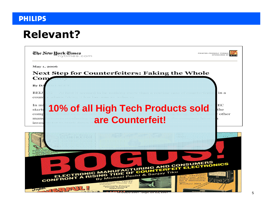### Relevant?

| The New Hork Times<br>nvtimes.com                                                                                                                                                                                               | PRINTER-FRIENDLY FORMAT<br>SPONSORED BY |
|---------------------------------------------------------------------------------------------------------------------------------------------------------------------------------------------------------------------------------|-----------------------------------------|
| May 1, 2006<br><b>Next Step for Counterfeiters: Faking the Whole</b>                                                                                                                                                            |                                         |
| Com<br>$\mathbf{B}\mathbf{v}$ $\mathbf{D} \ell$<br>and the change of hours of hours.                                                                                                                                            |                                         |
| BELJ<br>coun<br>dina matrix di dan kana ang ang malayang kanang matang matang na kanang kanang m                                                                                                                                | in a<br>e e gregori                     |
| In mi<br>10% of all High Tech Products sold<br>starte<br>comp<br>are Counterfeit!<br>manu<br>inves                                                                                                                              | EС<br>the<br>other                      |
| <b>BOOD BOOD BOOD</b><br>anna a coileac                                                                                                                                                                                         |                                         |
| Alia Mario                                                                                                                                                                                                                      |                                         |
| ELECTRONIC MANUFACTURING AND CONSUMERS<br>FRONT A RISING TIDE OF COUNTERFEIT ELECTRONICS<br>CONFRONT<br>centrifugal tinning ap<br>paratus.<br><b>Automatic Printed<br/>Circuit Tinning<br/>Apparatus</b><br>Jupen<br>$12.2 - 2$ | ticin<br>Brochure 206-                  |

**A 2007- SEPT. 20-21, 2007**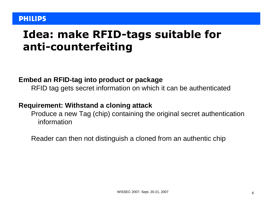### Idea: make RFID-tags suitable for anti-counterfeiting

#### **Embed an RFID-tag into product or package**

RFID tag gets secret information on which it can be authenticated

#### **Requirement: Withstand a cloning attack**

 Produce a new Tag (chip) containing the original secret authentication information

Reader can then not distinguish a cloned from an authentic chip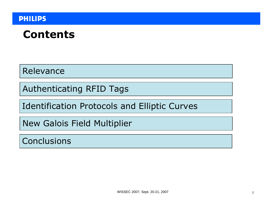### Contents

Relevance

Authenticating RFID Tags

Identification Protocols and Elliptic Curves

New Galois Field Multiplier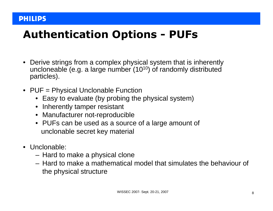# Authentication Options - PUFs

- $\bullet$  Derive strings from a complex physical system that is inherentlyuncloneable (e.g. a large number (10 $^{\rm 10}$ ) of randomly distributed particles).
- PUF = Physical Unclonable Function
	- Easy to evaluate (by probing the physical system)
	- Inherently tamper resistant
	- Manufacturer not-reproducible
	- PUFs can be used as a source of a large amount of unclonable secret key material
- Unclonable:
	- Hard to make a physical clone
	- Hard to make a mathematica Hard to make a mathematical model that simulates the behaviour of the physical structure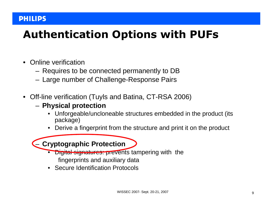# Authentication Options with PUFs

- $\bullet$  Online verification
	- Raquiras to h Requires to be connected permanently to DB
	- I arna numhar ot ('hallanga-Rasnonsa Pairs Large number of Challenge-Response Pairs
- $\bullet$  Off-line verification (Tuyls and Batina, CT-RSA 2006)
	- **Physical protection**
		- Unforgeable/uncloneable structures embedded in the product (its package)
		- •Derive a fingerprint from the structure and print it on the product

**Cryptographic Protection**

- Digital signatures: prevents tampering with the fingerprints and auxiliary data
- Secure Identification Protocols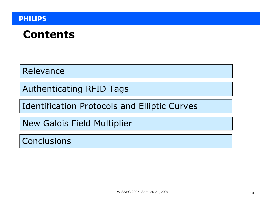### Contents

Relevance

Authenticating RFID Tags

Identification Protocols and Elliptic Curves

New Galois Field Multiplier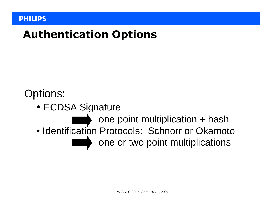### Authentication Options

### Options:

● ECDSA Signature

one point multiplication + hash • Identification Protocols: Schnorr or Okamoto one or two point multiplications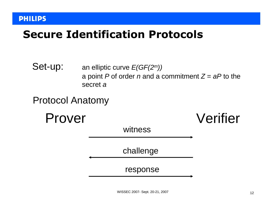### Secure Identification Protocols









witness

challenge

response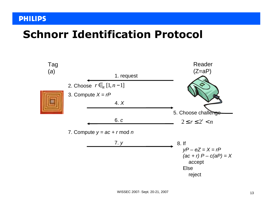### Schnorr Identification Protocol

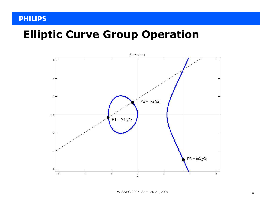### Elliptic Curve Group Operation

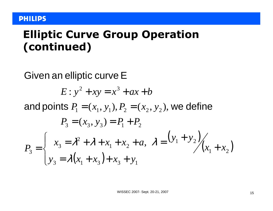### Elliptic Curve Group Operation (continued)

Given an elliptic curve <sup>E</sup>

$$
E: y^2 + xy = x^3 + ax + b
$$

 $=(x_1, y_1), F_2 =$ and points  $P_1 = (x_1, y_1), P_2 = (x_2, y_2)$ , we define  $1 - (x_1, y_1), \mathbf{1}_2 - (x_2, y_2)$  $P_1 = (x_1, y_1), P_2 = (x_2, y_2),$ 

$$
P_3 = (x_3, y_3) = P_1 + P_2
$$
  
\n
$$
P_3 = \begin{cases} x_3 = \lambda^2 + \lambda + x_1 + x_2 + a, & \lambda = \frac{y_1 + y_2}{x_1 + x_2} \\ y_3 = \lambda (x_1 + x_3) + x_3 + y_1 \end{cases}
$$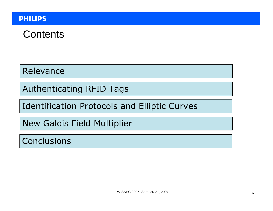### **Contents**

Relevance

Authenticating RFID Tags

Identification Protocols and Elliptic Curves

New Galois Field Multiplier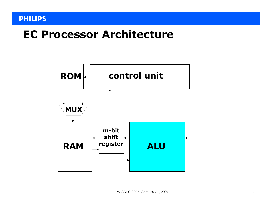### EC Processor Architecture

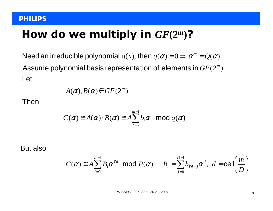# How do we multiply in  $GF(2^m)$ ?

 $GF(2^m)$  $q(x)$ , then  $q(\alpha) = 0 \Rightarrow \alpha^m = Q(\alpha)$ Assume polynomial basis representation of elements in  $GF(2\ell)$ Need an irreducible polynomial  $q(x)$ , then  $q(\alpha)$  =  $0$   $\Rightarrow$   $\alpha^m$  = Let

$$
A(\alpha), B(\alpha) \in GF(2^m)
$$

Then

$$
C(\alpha) \equiv A(\alpha) \cdot B(\alpha) \equiv A \sum_{i=0}^{m-1} b_i \alpha^i \mod q(\alpha)
$$

But also

$$
C(\alpha) \equiv A \sum_{i=0}^{d-1} B_i \alpha^{Di} \mod P(\alpha), \quad B_i = \sum_{j=0}^{D-1} b_{Di+j} \alpha^j, \ d = \text{ceil} \left( \frac{m}{D} \right)
$$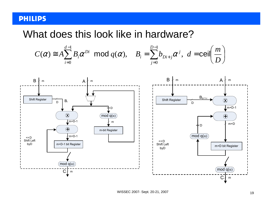### What does this look like in hardware?

$$
C(\alpha) \cong A \sum_{i=0}^{d-1} B_i \alpha^{Di} \mod q(\alpha), \quad B_i = \sum_{j=0}^{D-1} b_{Di+j} \alpha^j, \ d = \text{ceil} \left( \frac{m}{D} \right)
$$

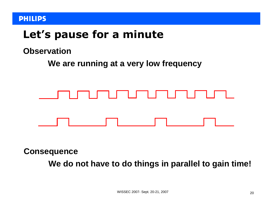### Let's pause for a minute

### **Observation**

**We are running at a very low frequency**



**Consequence**

**We do not have to do things in parallel to gain time!**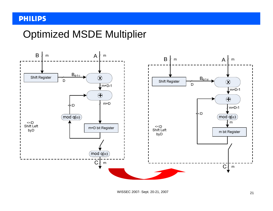### Optimized MSDE Multiplier

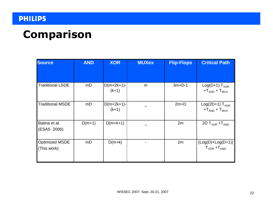### Comparison

| <b>Source</b>                        | <b>AND</b> | <b>XOR</b>              | <b>MUXex</b> | <b>Flip-Flops</b> | <b>Critical Path</b>                          |
|--------------------------------------|------------|-------------------------|--------------|-------------------|-----------------------------------------------|
| <b>Traditional LSDE</b>              | mD         | $D(m+2k+1)-$<br>$(k+1)$ | m            | $3m+D-1$          | Log(D+1) $T_{XOR}$<br>$+T_{AND}$ + $T_{MUX}$  |
| <b>Traditional MSDE</b>              | mD         | $D(m+2k+1)-$<br>$(k+1)$ |              | $2m+D$            | Log(2D+1) $T_{XOR}$<br>$+T_{AND}$ + $T_{MUX}$ |
| Batina et al.<br>(ESAS 2006)         | $D(m+1)$   | $D(m+k+1)$              |              | 2m                | 2D $T_{XOR}$ + $T_{AND}$                      |
| <b>Optimized MSDE</b><br>(This work) | mD         | $D(m+k)$                |              | 2m                | $(Log(D)+Log(D+1))$<br>$T_{XOR}$ + $T_{AND}$  |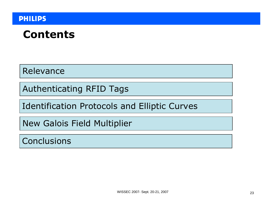### Contents

Relevance

Authenticating RFID Tags

Identification Protocols and Elliptic Curves

New Galois Field Multiplier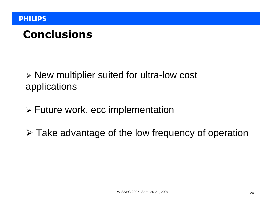# Conclusions

 New multiplier suited for ultra-low cost applications

- Future work, ecc implementation
- Take advantage of the low frequency of operation